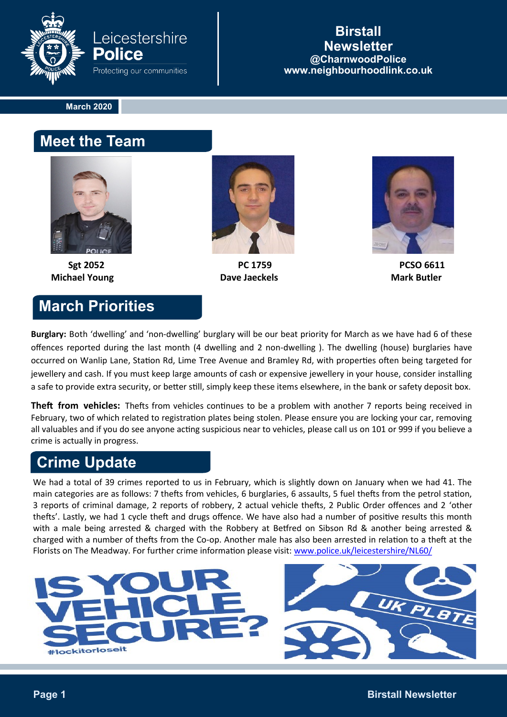

#### **Birstall Newsletter @CharnwoodPolice www.neighbourhoodlink.co.uk**

**March 2020**

#### **Meet the Team**



**Michael Young Community Community Community Dave Jaeckels Community Community Community Community Community Community Community Community Community Community Community Community Community Community Community Community Com** 

### **March Priorities**



Sgt 2052 **PC 1759** PC 1759 **PC 1759** 



**Burglary:** Both 'dwelling' and 'non-dwelling' burglary will be our beat priority for March as we have had 6 of these offences reported during the last month (4 dwelling and 2 non-dwelling ). The dwelling (house) burglaries have occurred on Wanlip Lane, Station Rd, Lime Tree Avenue and Bramley Rd, with properties often being targeted for jewellery and cash. If you must keep large amounts of cash or expensive jewellery in your house, consider installing a safe to provide extra security, or better still, simply keep these items elsewhere, in the bank or safety deposit box.

**Theft from vehicles:** Thefts from vehicles continues to be a problem with another 7 reports being received in February, two of which related to registration plates being stolen. Please ensure you are locking your car, removing all valuables and if you do see anyone acting suspicious near to vehicles, please call us on 101 or 999 if you believe a crime is actually in progress.

# **Crime Update**

We had a total of 39 crimes reported to us in February, which is slightly down on January when we had 41. The main categories are as follows: 7 thefts from vehicles, 6 burglaries, 6 assaults, 5 fuel thefts from the petrol station, 3 reports of criminal damage, 2 reports of robbery, 2 actual vehicle thefts, 2 Public Order offences and 2 'other thefts'. Lastly, we had 1 cycle theft and drugs offence. We have also had a number of positive results this month with a male being arrested & charged with the Robbery at Betfred on Sibson Rd & another being arrested & charged with a number of thefts from the Co-op. Another male has also been arrested in relation to a theft at the Florists on The Meadway. For further crime information please visit: [www.police.uk/leicestershire/NL60/](http://www.police.uk/leicestershire/NL60/)